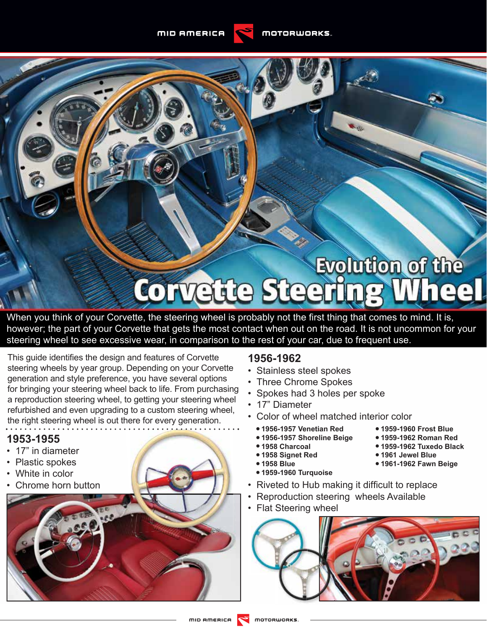**MID AMERICA** 

# Evolution of the **Corvette Steerin** eel

When you think of your Corvette, the steering wheel is probably not the first thing that comes to mind. It is, however; the part of your Corvette that gets the most contact when out on the road. It is not uncommon for your steering wheel to see excessive wear, in comparison to the rest of your car, due to frequent use.

This quide identifies the design and features of Corvette steering wheels by year group. Depending on your Corvette generation and style preference, you have several options for bringing your steering wheel back to life. From purchasing a reproduction steering wheel, to getting your steering wheel refurbished and even upgrading to a custom steering wheel, the right steering wheel is out there for every generation.

# **1953-1955**

- 17" in diameter
- Plastic spokes
- White in color
- Chrome horn button

# **1956-1962**

- Stainless steel spokes
- Three Chrome Spokes
- Spokes had 3 holes per spoke
- 17" Diameter
- Color of wheel matched interior color
	- **• 1956-1957 Venetian Red**
	- **• 1956-1957 Shoreline Beige**
	- **• 1958 Charcoal**
	- **• 1958 Signet Red**
- **• 1958 Blue**
- **• 1959-1960 Turquoise**
- Riveted to Hub making it difficult to replace
- Reproduction steering wheels Available
- Flat Steering wheel



**• 1959-1960 Frost Blue • 1959-1962 Roman Red • 1959-1962 Tuxedo Black**

**• 1961 Jewel Blue • 1961-1962 Fawn Beige**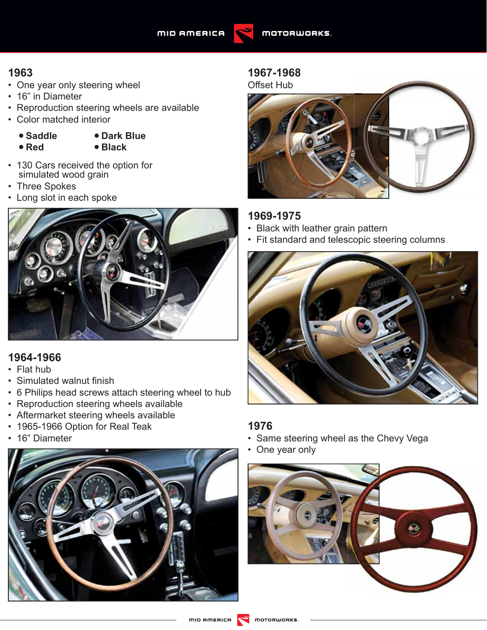

- One year only steering wheel
- 16" in Diameter
- Reproduction steering wheels are available
- Color matched interior
	- **• Saddle • Red**
- **• Dark Blue • Black**
- 130 Cars received the option for simulated wood grain
- Three Spokes
- Long slot in each spoke



# **1964-1966**

- Flat hub
- Simulated walnut finish
- 6 Philips head screws attach steering wheel to hub
- Reproduction steering wheels available
- Aftermarket steering wheels available
- 1965-1966 Option for Real Teak
- 16" Diameter



# **1967-1968**

Offset Hub



# **1969-1975**

- Black with leather grain pattern
- Fit standard and telescopic steering columns



#### **1976**

- Same steering wheel as the Chevy Vega
- One year only

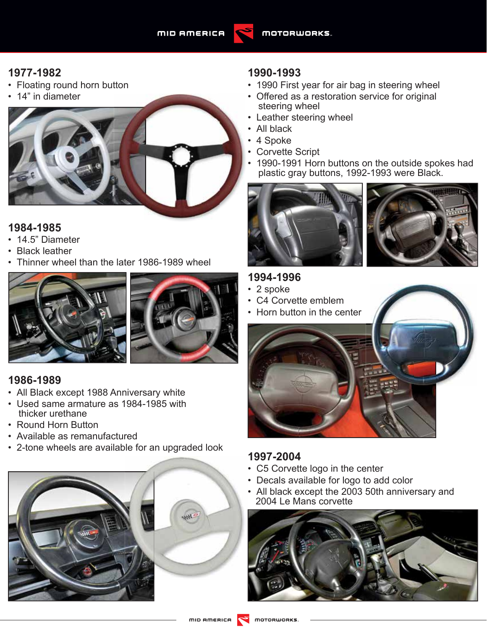

# **1977-1982**

- Floating round horn button
- 14" in diameter



### **1984-1985**

- 14.5" Diameter
- Black leather
- Thinner wheel than the later 1986-1989 wheel





#### **1986-1989**

- All Black except 1988 Anniversary white
- Used same armature as 1984-1985 with thicker urethane
- Round Horn Button
- Available as remanufactured
- 2-tone wheels are available for an upgraded look



#### **1990-1993**

- 1990 First year for air bag in steering wheel
- Offered as a restoration service for original steering wheel
- Leather steering wheel
- All black
- 4 Spoke
- Corvette Script
- 1990-1991 Horn buttons on the outside spokes had plastic gray buttons, 1992-1993 were Black.





# **1994-1996**

- 2 spoke
- C4 Corvette emblem
- Horn button in the center



# **1997-2004**

- C5 Corvette logo in the center
- Decals available for logo to add color
- All black except the 2003 50th anniversary and 2004 Le Mans corvette

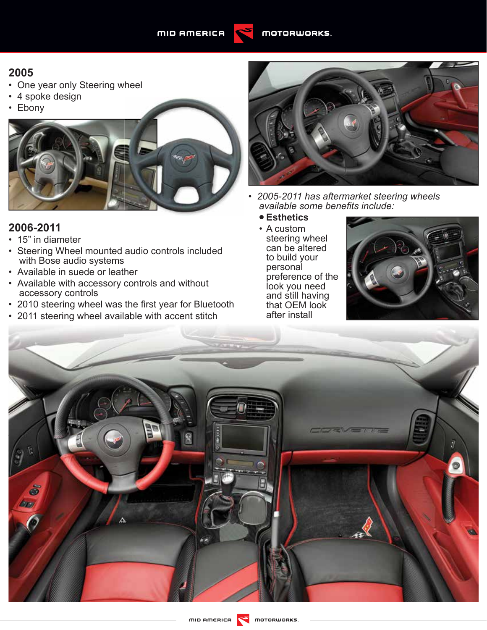

#### **2005**

- One year only Steering wheel
- 4 spoke design
- Ebony



#### **2006-2011**

- 15" in diameter
- Steering Wheel mounted audio controls included with Bose audio systems
- Available in suede or leather
- Available with accessory controls and without accessory controls
- 2010 steering wheel was the first year for Bluetooth
- 2011 steering wheel available with accent stitch



- *2005-2011 has aftermarket steering wheels available some benefi ts include:*
	- **• Esthetics**
	- A custom steering wheel can be altered to build your personal preference of the look you need and still having that OEM look after install